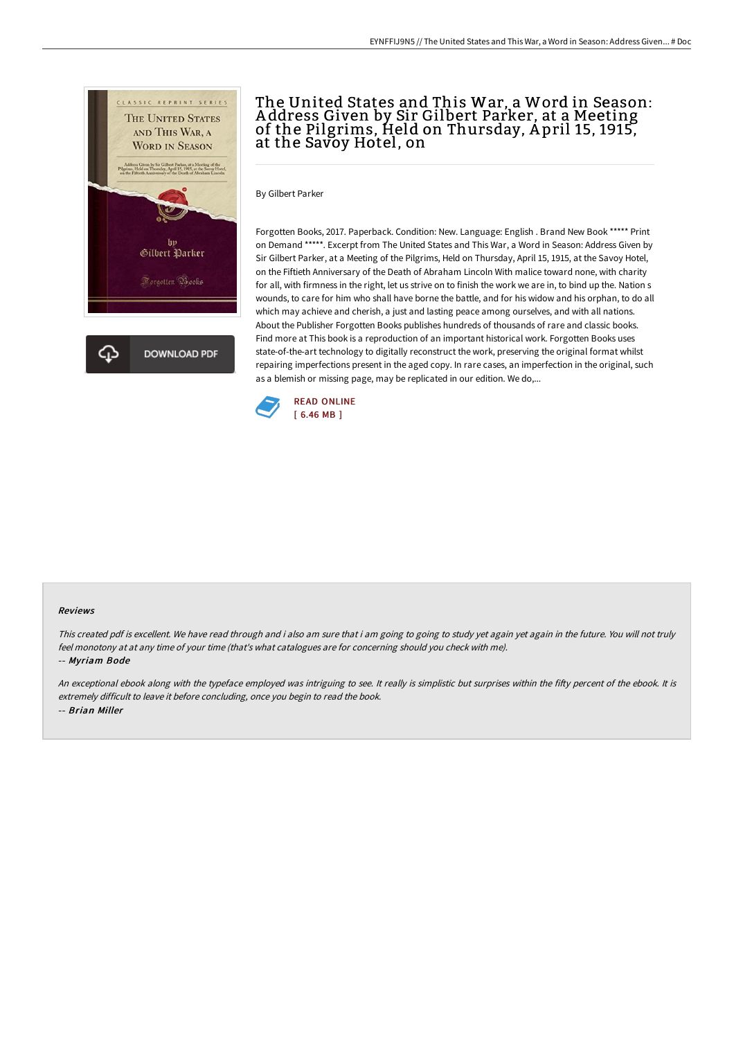

# The United States and This War, a Word in Season: A ddress Given by Sir Gilbert Parker, at a Meeting of the Pilgrims, Held on Thursday, A pril 15, 1915, at the Savoy Hotel, on

By Gilbert Parker

Forgotten Books, 2017. Paperback. Condition: New. Language: English . Brand New Book \*\*\*\*\* Print on Demand \*\*\*\*\*. Excerpt from The United States and This War, a Word in Season: Address Given by Sir Gilbert Parker, at a Meeting of the Pilgrims, Held on Thursday, April 15, 1915, at the Savoy Hotel, on the Fiftieth Anniversary of the Death of Abraham Lincoln With malice toward none, with charity for all, with firmness in the right, let us strive on to finish the work we are in, to bind up the. Nation s wounds, to care for him who shall have borne the battle, and for his widow and his orphan, to do all which may achieve and cherish, a just and lasting peace among ourselves, and with all nations. About the Publisher Forgotten Books publishes hundreds of thousands of rare and classic books. Find more at This book is a reproduction of an important historical work. Forgotten Books uses state-of-the-art technology to digitally reconstruct the work, preserving the original format whilst repairing imperfections present in the aged copy. In rare cases, an imperfection in the original, such as a blemish or missing page, may be replicated in our edition. We do,...



#### Reviews

This created pdf is excellent. We have read through and i also am sure that i am going to going to study yet again yet again in the future. You will not truly feel monotony at at any time of your time (that's what catalogues are for concerning should you check with me). -- Myriam Bode

An exceptional ebook along with the typeface employed was intriguing to see. It really is simplistic but surprises within the fifty percent of the ebook. It is extremely difficult to leave it before concluding, once you begin to read the book. -- Brian Miller